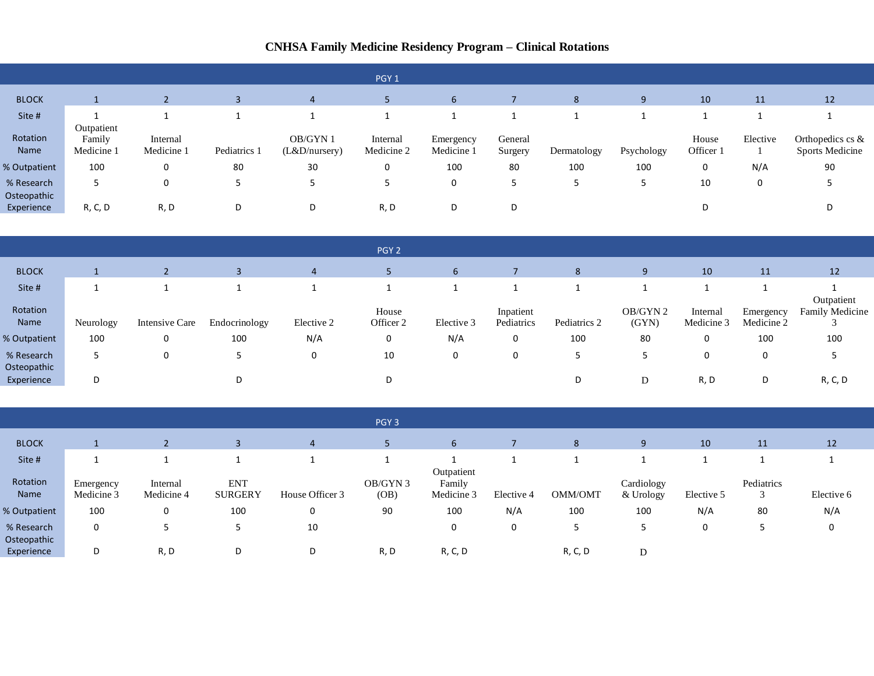## **CNHSA Family Medicine Residency Program – Clinical Rotations**

|                           |                                    |                        |              |                           | PGY <sub>1</sub>       |                         |                    |             |            |                    |          |                                               |
|---------------------------|------------------------------------|------------------------|--------------|---------------------------|------------------------|-------------------------|--------------------|-------------|------------|--------------------|----------|-----------------------------------------------|
| <b>BLOCK</b>              |                                    |                        |              | 4                         |                        | 6                       |                    | 8           |            | 10                 | 11       | 12                                            |
| Site #                    |                                    |                        |              |                           |                        |                         |                    |             |            |                    |          |                                               |
| Rotation<br>Name          | Outpatient<br>Family<br>Medicine 1 | Internal<br>Medicine 1 | Pediatrics 1 | OB/GYN 1<br>(L&D/nursery) | Internal<br>Medicine 2 | Emergency<br>Medicine 1 | General<br>Surgery | Dermatology | Psychology | House<br>Officer 1 | Elective | Orthopedics cs $\&$<br><b>Sports Medicine</b> |
| % Outpatient              | 100                                |                        | 80           | 30                        | 0                      | 100                     | 80                 | 100         | 100        | $\mathbf 0$        | N/A      | 90                                            |
| % Research<br>Osteopathic |                                    |                        |              | -                         |                        | 0                       |                    |             |            | 10                 | 0        |                                               |
| Experience                | R, C, D                            | R, D                   | D            | D                         | R, D                   | D                       | D                  |             |            | D                  |          |                                               |

|                           |           |                |               |            | PGY <sub>2</sub>   |            |                         |              |                   |                        |                         |                                    |
|---------------------------|-----------|----------------|---------------|------------|--------------------|------------|-------------------------|--------------|-------------------|------------------------|-------------------------|------------------------------------|
| <b>BLOCK</b>              |           |                |               | 4          |                    | b          |                         | 8            | 9                 | 10                     | 11                      | 12                                 |
| Site #                    |           |                |               |            |                    |            |                         |              |                   |                        |                         |                                    |
| Rotation<br>Name          | Neurology | Intensive Care | Endocrinology | Elective 2 | House<br>Officer 2 | Elective 3 | Inpatient<br>Pediatrics | Pediatrics 2 | OB/GYN 2<br>(GYN) | Internal<br>Medicine 3 | Emergency<br>Medicine 2 | Outpatient<br>Family Medicine<br>◡ |
| % Outpatient              | 100       | 0              | 100           | N/A        | 0                  | N/A        | 0                       | 100          | 80                | 0                      | 100                     | 100                                |
| % Research<br>Osteopathic |           | $\Omega$       |               | 0          | 10                 | 0          | 0                       |              | כ                 | 0                      | 0                       | 5                                  |
| Experience                | D         |                | D             |            | D                  |            |                         | D            | D                 | R, D                   | D                       | R, C, D                            |

|                           |                         |                        |                              |                 | PGY <sub>3</sub> |                                    |            |         |                         |            |                      |            |
|---------------------------|-------------------------|------------------------|------------------------------|-----------------|------------------|------------------------------------|------------|---------|-------------------------|------------|----------------------|------------|
| <b>BLOCK</b>              |                         |                        | э                            | 4               |                  | $\mathbf b$                        |            | 8       | 9                       | 10         | 11                   | 12         |
| Site #                    |                         |                        |                              |                 |                  |                                    |            |         |                         |            |                      |            |
| Rotation<br>Name          | Emergency<br>Medicine 3 | Internal<br>Medicine 4 | <b>ENT</b><br><b>SURGERY</b> | House Officer 3 | OB/GYN 3<br>(OB) | Outpatient<br>Family<br>Medicine 3 | Elective 4 | OMM/OMT | Cardiology<br>& Urology | Elective 5 | Pediatrics<br>⌒<br>◡ | Elective 6 |
| % Outpatient              | 100                     | 0                      | 100                          | 0               | 90               | 100                                | N/A        | 100     | 100                     | N/A        | 80                   | N/A        |
| % Research<br>Osteopathic | 0                       |                        | כ                            | 10              |                  | 0                                  | 0          |         |                         | 0          |                      | 0          |
| Experience                | D                       | R, D                   | D                            | D               | R, D             | R, C, D                            |            | R, C, D | D                       |            |                      |            |